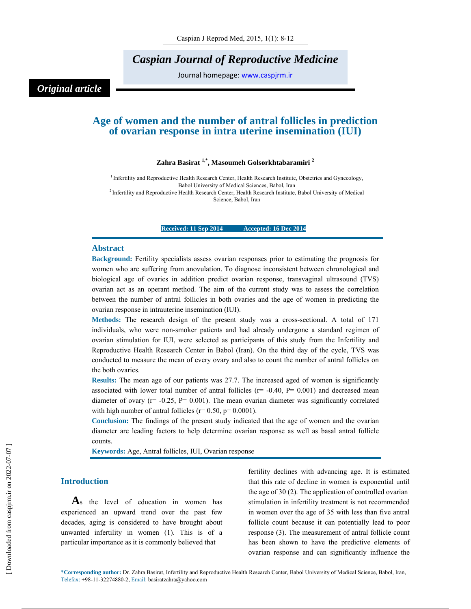## *Caspian Journal of Reproductive Medicine*

Journal homepage: www.caspjrm.ir

### *Original article*

### **Age of women and the number of antral follicles in prediction of ovarian response in intra uterine insemination (IUI)**

### **Zahra Basirat 1,\*, Masoumeh Golsorkhtabaramiri 2**

<sup>1</sup> Infertility and Reproductive Health Research Center, Health Research Institute, Obstetrics and Gynecology, Babol University of Medical Sciences, Babol, Iran<br><sup>2</sup> Infertility and Reproductive Health Research Center, Health Research Institute, Babol University of Medical Science, Babol, Iran

### **Received: 11 Sep 2014 Accepted: 16 Dec 2014**

#### **Abstract**

**Background:** Fertility specialists assess ovarian responses prior to estimating the prognosis for women who are suffering from anovulation. To diagnose inconsistent between chronological and biological age of ovaries in addition predict ovarian response, transvaginal ultrasound (TVS) ovarian act as an operant method. The aim of the current study was to assess the correlation between the number of antral follicles in both ovaries and the age of women in predicting the ovarian response in intrauterine insemination (IUI).

**Methods:** The research design of the present study was a cross-sectional. A total of 171 individuals, who were non-smoker patients and had already undergone a standard regimen of ovarian stimulation for IUI, were selected as participants of this study from the Infertility and Reproductive Health Research Center in Babol (Iran). On the third day of the cycle, TVS was conducted to measure the mean of every ovary and also to count the number of antral follicles on the both ovaries.

**Results:** The mean age of our patients was 27.7. The increased aged of women is significantly associated with lower total number of antral follicles ( $r = -0.40$ ,  $P = 0.001$ ) and decreased mean diameter of ovary ( $r = -0.25$ ,  $P = 0.001$ ). The mean ovarian diameter was significantly correlated with high number of antral follicles ( $r= 0.50$ ,  $p= 0.0001$ ).

**Conclusion:** The findings of the present study indicated that the age of women and the ovarian diameter are leading factors to help determine ovarian response as well as basal antral follicle counts.

**Keywords:** Age, Antral follicles, IUI, Ovarian response

### **Introduction**

**A**s the level of education in women has experienced an upward trend over the past few decades, aging is considered to have brought about unwanted infertility in women (1). This is of a particular importance as it is commonly believed that

fertility declines with advancing age. It is estimated that this rate of decline in women is exponential until the age of 30 (2). The application of controlled ovarian stimulation in infertility treatment is not recommended in women over the age of 35 with less than five antral follicle count because it can potentially lead to poor response (3). The measurement of antral follicle count has been shown to have the predictive elements of ovarian response and can significantly influence the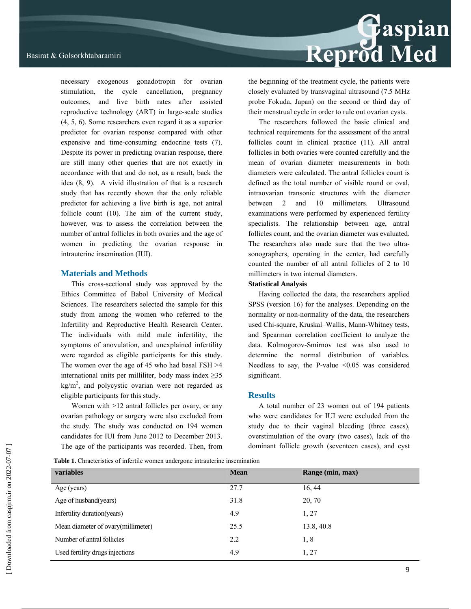necessary exogenous gonadotropin for ovarian stimulation, the cycle cancellation, pregnancy outcomes, and live birth rates after assisted reproductive technology (ART) in large-scale studies (4, 5, 6). Some researchers even regard it as a superior predictor for ovarian response compared with other expensive and time-consuming endocrine tests (7). Despite its power in predicting ovarian response, there are still many other queries that are not exactly in accordance with that and do not, as a result, back the idea (8, 9). A vivid illustration of that is a research study that has recently shown that the only reliable predictor for achieving a live birth is age, not antral follicle count (10). The aim of the current study, however, was to assess the correlation between the number of antral follicles in both ovaries and the age of women in predicting the ovarian response in intrauterine insemination (IUI).

### **Materials and Methods**

This cross-sectional study was approved by the Ethics Committee of Babol University of Medical Sciences. The researchers selected the sample for this study from among the women who referred to the Infertility and Reproductive Health Research Center. The individuals with mild male infertility, the symptoms of anovulation, and unexplained infertility were regarded as eligible participants for this study. The women over the age of 45 who had basal FSH >4 international units per milliliter, body mass index  $\geq 35$  $\text{kg/m}^2$ , and polycystic ovarian were not regarded as eligible participants for this study.

Women with  $>12$  antral follicles per ovary, or any ovarian pathology or surgery were also excluded from the study. The study was conducted on 194 women candidates for IUI from June 2012 to December 2013. The age of the participants was recorded. Then, from

## Reprod Med

the beginning of the treatment cycle, the patients were closely evaluated by transvaginal ultrasound (7.5 MHz probe Fokuda, Japan) on the second or third day of their menstrual cycle in order to rule out ovarian cysts.

The researchers followed the basic clinical and technical requirements for the assessment of the antral follicles count in clinical practice (11). All antral follicles in both ovaries were counted carefully and the mean of ovarian diameter measurements in both diameters were calculated. The antral follicles count is defined as the total number of visible round or oval, intraovarian transonic structures with the diameter between 2 and 10 millimeters. Ultrasound examinations were performed by experienced fertility specialists. The relationship between age, antral follicles count, and the ovarian diameter was evaluated. The researchers also made sure that the two ultrasonographers, operating in the center, had carefully counted the number of all antral follicles of 2 to 10 millimeters in two internal diameters.

### **Statistical Analysis**

Having collected the data, the researchers applied SPSS (version 16) for the analyses. Depending on the normality or non-normality of the data, the researchers used Chi-square, Kruskal–Wallis, Mann-Whitney tests, and Spearman correlation coefficient to analyze the data. Kolmogorov-Smirnov test was also used to determine the normal distribution of variables. Needless to say, the P-value  $\leq 0.05$  was considered significant.

### **Results**

A total number of 23 women out of 194 patients who were candidates for IUI were excluded from the study due to their vaginal bleeding (three cases), overstimulation of the ovary (two cases), lack of the dominant follicle growth (seventeen cases), and cyst

Table 1. Chracteristics of infertile women undergone intrauterine insemination

| variables                           | <b>Mean</b> | Range (min, max) |  |
|-------------------------------------|-------------|------------------|--|
| Age (years)                         | 27.7        | 16, 44           |  |
| Age of husband(years)               | 31.8        | 20, 70           |  |
| Infertility duration (years)        | 4.9         | 1, 27            |  |
| Mean diameter of ovary (millimeter) | 25.5        | 13.8, 40.8       |  |
| Number of antral follicles          | 2.2         | 1,8              |  |
| Used fertility drugs injections     | 4.9         | 1, 27            |  |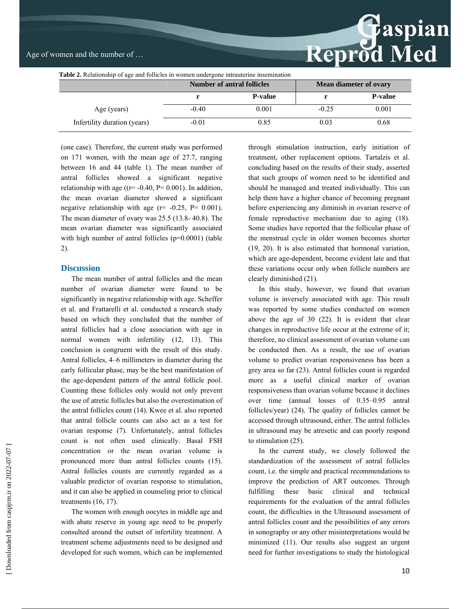# Reprod Med

| <b>Table 2.</b> Relationship of age and follicles in women undergone intrauterine insemination |                                   |                |                               |                 |  |  |
|------------------------------------------------------------------------------------------------|-----------------------------------|----------------|-------------------------------|-----------------|--|--|
|                                                                                                | <b>Number of antral follicles</b> |                | <b>Mean diameter of ovary</b> |                 |  |  |
|                                                                                                |                                   | <b>P-value</b> |                               | <b>P</b> -value |  |  |
| Age (years)                                                                                    | $-0.40$                           | 0.001          | $-0.25$                       | 0.001           |  |  |
| Infertility duration (years)                                                                   | $-0.01$                           | 0.85           | 0.03                          | 0.68            |  |  |

(one case). Therefore, the current study was performed on 171 women, with the mean age of 27.7, ranging between 16 and 44 (table 1). The mean number of antral follicles showed a significant negative relationship with age ( $(r=-0.40, P= 0.001)$ ). In addition, the mean ovarian diameter showed a significant negative relationship with age  $(r = -0.25, P = 0.001)$ . The mean diameter of ovary was 25.5 (13.8- 40.8). The mean ovarian diameter was significantly associated with high number of antral follicles (p=0.0001) (table 2).

### **Discussion**

The mean number of antral follicles and the mean number of ovarian diameter were found to be significantly in negative relationship with age. Scheffer et al. and Frattarelli et al. conducted a research study based on which they concluded that the number of antral follicles had a close association with age in normal women with infertility (12, 13). This conclusion is congruent with the result of this study. Antral follicles, 4–6 millimeters in diameter during the early follicular phase, may be the best manifestation of the age-dependent pattern of the antral follicle pool. Counting these follicles only would not only prevent the use of atretic follicles but also the overestimation of the antral follicles count (14). Kwee et al. also reported that antral follicle counts can also act as a test for ovarian response (7). Unfortunately, antral follicles count is not often used clinically. Basal FSH concentration or the mean ovarian volume is pronounced more than antral follicles counts (15). Antral follicles counts are currently regarded as a valuable predictor of ovarian response to stimulation, and it can also be applied in counseling prior to clinical treatments (16, 17).

The women with enough oocytes in middle age and with abate reserve in young age need to be properly consulted around the outset of infertility treatment. A treatment scheme adjustments need to be designed and developed for such women, which can be implemented through stimulation instruction, early initiation of treatment, other replacement options. Tartalzis et al. concluding based on the results of their study, asserted that such groups of women need to be identified and should be managed and treated individually. This can help them have a higher chance of becoming pregnant before experiencing any diminish in ovarian reserve of female reproductive mechanism due to aging (18). Some studies have reported that the follicular phase of the menstrual cycle in older women becomes shorter (19, 20). It is also estimated that hormonal variation, which are age-dependent, become evident late and that these variations occur only when follicle numbers are clearly diminished (21).

In this study, however, we found that ovarian volume is inversely associated with age. This result was reported by some studies conducted on women above the age of 30 (22). It is evident that clear changes in reproductive life occur at the extreme of it; therefore, no clinical assessment of ovarian volume can be conducted then. As a result, the use of ovarian volume to predict ovarian responsiveness has been a grey area so far (23). Antral follicles count is regarded more as a useful clinical marker of ovarian responsiveness than ovarian volume because it declines over time (annual losses of 0.35–0.95 antral follicles/year) (24). The quality of follicles cannot be accessed through ultrasound, either. The antral follicles in ultrasound may be atresetic and can poorly respond to stimulation (25).

In the current study, we closely followed the standardization of the assessment of antral follicles count, i.e. the simple and practical recommendations to improve the prediction of ART outcomes. Through fulfilling these basic clinical and technical requirements for the evaluation of the antral follicles count, the difficulties in the Ultrasound assessment of antral follicles count and the possibilities of any errors in sonography or any other misinterpretations would be minimized (11). Our results also suggest an urgent need for further investigations to study the histological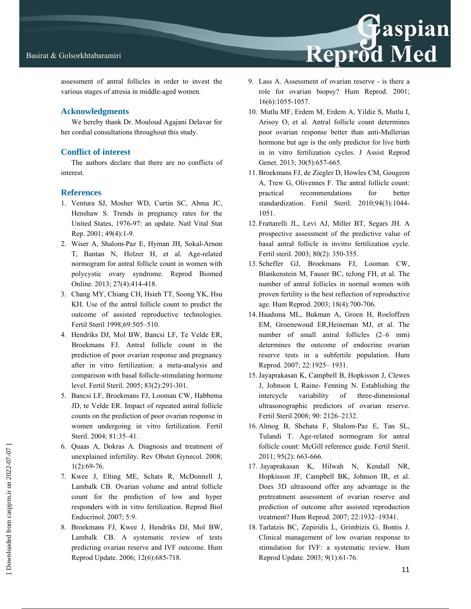

assessment of antral follicles in order to invest the various stages of atresia in middle-aged women.

### **Acknowledgments**

We hereby thank Dr. Mouloud Agajani Delavar for her cordial consultations throughout this study.

### **Conflict of interest**

The authors declare that there are no conflicts of interest.

### **References**

- 1. Ventura SJ, Mosher WD, Curtin SC, Abma JC, Henshaw S. Trends in pregnancy rates for the United States, 1976-97: an update. Natl Vital Stat Rep. 2001; 49(4):1-9.
- 2. Wiser A, Shalom-Paz E, Hyman JH, Sokal-Arnon T, Bantan N, Holzer H, et al. Age-related normogram for antral follicle count in women with polycystic ovary syndrome. Reprod Biomed Online. 2013; 27(4):414-418.
- 3. Chang MY, Chiang CH, Hsieh TT, Soong YK, Hsu KH. Use of the antral follicle count to predict the outcome of assisted reproductive technologies. Fertil Steril 1998;69:505–510.
- 4. Hendriks DJ, Mol BW, Bancsi LF, Te Velde ER, Broekmans FJ. Antral follicle count in the prediction of poor ovarian response and pregnancy after in vitro fertilization: a meta-analysis and comparison with basal follicle-stimulating hormone level. Fertil Steril. 2005; 83(2):291-301.
- 5. Bancsi LF, Broekmans FJ, Looman CW, Habbema JD, te Velde ER. Impact of repeated antral follicle counts on the prediction of poor ovarian response in women undergoing in vitro fertilization. Fertil Steril. 2004; 81:35–41.
- 6. Quaas A, Dokras A. Diagnosis and treatment of unexplained infertility. Rev Obstet Gynecol. 2008; 1(2):69-76.
- 7. Kwee J, Elting ME, Schats R, McDonnell J, Lambalk CB. Ovarian volume and antral follicle count for the prediction of low and hyper responders with in vitro fertilization. Reprod Biol Endocrinol. 2007; 5:9.
- 8. Broekmans FJ, Kwee J, Hendriks DJ, Mol BW, Lambalk CB. A systematic review of tests predicting ovarian reserve and IVF outcome. Hum Reprod Update. 2006; 12(6):685-718.

9. Lass A. Assessment of ovarian reserve - is there a role for ovarian biopsy? Hum Reprod. 2001; 16(6):1055-1057.

Reprod Med

- 10. Mutlu MF, Erdem M, Erdem A, Yildiz S, Mutlu I, Arisoy O, et al. Antral follicle count determines poor ovarian response better than anti-Mullerian hormone but age is the only predictor for live birth in in vitro fertilization cycles. J Assist Reprod Genet. 2013; 30(5):657-665.
- 11.Broekmans FJ, de Ziegler D, Howles CM, Gougeon A, Trew G, Olivennes F. The antral follicle count: practical recommendations for better standardization. Fertil Steril. 2010;94(3):1044- 1051.
- 12. Frattarelli JL, Levi AJ, Miller BT, Segars JH. A prospective assessment of the predictive value of basal antral follicle in invitro fertilization cycle. Fertil steril. 2003; 80(2): 350-355.
- 13. Scheffer GJ, Broekmans FJ, Looman CW, Blankenstein M, Fauser BC, teJong FH, et al. The number of antral follicles in normal women with proven fertility is the best reflection of reproductive age. Hum Reprod. 2003; 18(4):700-706.
- 14. Haadsma ML, Bukman A, Groen H, Roeloffzen EM, Groenewoud ER,Heineman MJ, et al. The number of small antral follicles (2–6 mm) determines the outcome of endocrine ovarian reserve tests in a subfertile population. Hum Reprod. 2007; 22:1925– 1931.
- 15.Jayaprakasan K, Campbell B, Hopkisson J, Clewes J, Johnson I, Raine- Fenning N. Establishing the intercycle variability of three-dimensional ultrasonographic predictors of ovarian reserve. Fertil Steril 2008; 90: 2126–2132.
- 16. Almog B, Shehata F, Shalom-Paz E, Tan SL, Tulandi T. Age-related normogram for antral follicle count: McGill reference guide. Fertil Steril. 2011; 95(2): 663-666.
- 17. Jayaprakasan K, Hilwah N, Kendall NR, Hopkisson JF, Campbell BK, Johnson IR, et al. Does 3D ultrasound offer any advantage in the pretreatment assessment of ovarian reserve and prediction of outcome after assisted reproduction treatment? Hum Reprod. 2007; 22:1932–19341.
- 18. Tarlatzis BC, Zepiridis L, Grimbizis G, Bontis J. Clinical management of low ovarian response to stimulation for IVF: a systematic review. Hum Reprod Update. 2003; 9(1):61-76.